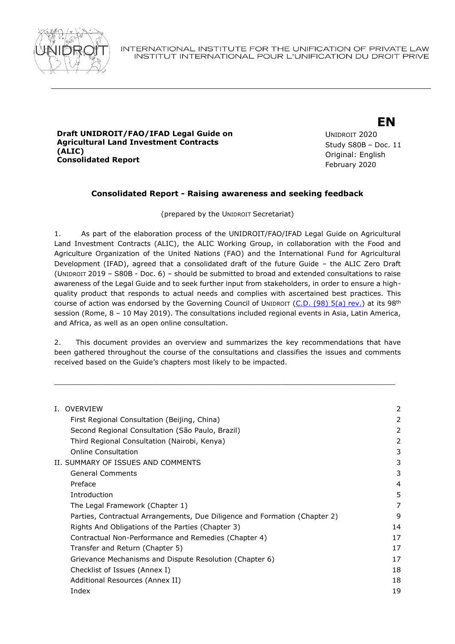

#### **Draft UNIDROIT/FAO/IFAD Legal Guide on Agricultural Land Investment Contracts (ALIC) Consolidated Report**

# **EN**

UNIDROIT 2020 Study S80B – Doc. 11 Original: English February 2020

# **Consolidated Report - Raising awareness and seeking feedback**

(prepared by the UNIDROIT Secretariat)

1. As part of the elaboration process of the UNIDROIT/FAO/IFAD Legal Guide on Agricultural Land Investment Contracts (ALIC), the ALIC Working Group, in collaboration with the Food and Agriculture Organization of the United Nations (FAO) and the International Fund for Agricultural Development (IFAD), agreed that a consolidated draft of the future Guide – the ALIC Zero Draft (UNIDROIT 2019 – S80B - Doc. 6) – should be submitted to broad and extended consultations to raise awareness of the Legal Guide and to seek further input from stakeholders, in order to ensure a highquality product that responds to actual needs and complies with ascertained best practices. This course of action was endorsed by the Governing Council of UNIDROIT  $(C.D. (98) 5(a) rev.)$  $(C.D. (98) 5(a) rev.)$  at its 98<sup>th</sup> session (Rome, 8 – 10 May 2019). The consultations included regional events in Asia, Latin America, and Africa, as well as an open online consultation.

2. This document provides an overview and summarizes the key recommendations that have been gathered throughout the course of the consultations and classifies the issues and comments received based on the Guide's chapters most likely to be impacted.

\_\_\_\_\_\_\_\_\_\_\_\_\_\_\_\_\_\_\_\_\_\_\_\_\_\_\_\_\_\_\_\_\_\_\_\_\_\_\_\_\_\_\_\_\_\_\_\_\_\_\_\_\_\_\_\_\_\_\_\_\_\_\_\_\_\_\_\_\_\_\_\_\_\_\_\_\_\_

| <b>I. OVERVIEW</b>                                                         | 2  |
|----------------------------------------------------------------------------|----|
| First Regional Consultation (Beijing, China)                               | 2  |
| Second Regional Consultation (São Paulo, Brazil)                           | 2  |
| Third Regional Consultation (Nairobi, Kenya)                               | 2  |
| Online Consultation                                                        | 3  |
| II. SUMMARY OF ISSUES AND COMMENTS                                         | 3  |
| <b>General Comments</b>                                                    | 3  |
| Preface                                                                    | 4  |
| Introduction                                                               | 5  |
| The Legal Framework (Chapter 1)                                            | 7  |
| Parties, Contractual Arrangements, Due Diligence and Formation (Chapter 2) | 9  |
| Rights And Obligations of the Parties (Chapter 3)                          | 14 |
| Contractual Non-Performance and Remedies (Chapter 4)                       | 17 |
| Transfer and Return (Chapter 5)                                            | 17 |
| Grievance Mechanisms and Dispute Resolution (Chapter 6)                    | 17 |
| Checklist of Issues (Annex I)                                              | 18 |
| Additional Resources (Annex II)                                            | 18 |
| Index                                                                      | 19 |
|                                                                            |    |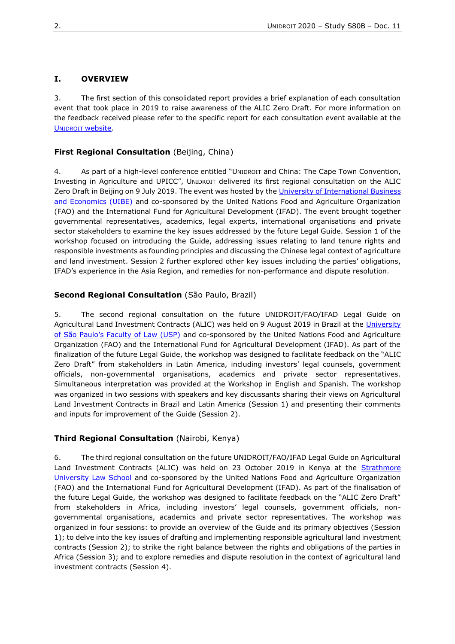### <span id="page-1-0"></span>**I. OVERVIEW**

3. The first section of this consolidated report provides a brief explanation of each consultation event that took place in 2019 to raise awareness of the ALIC Zero Draft. For more information on the feedback received please refer to the specific report for each consultation event available at the UNIDROIT [website.](https://www.unidroit.org/work-in-progress/agricultural-land-investment/online-consultation)

#### <span id="page-1-1"></span>**First Regional Consultation** (Beijing, China)

4. As part of a high-level conference entitled "UNIDROIT and China: The Cape Town Convention, Investing in Agriculture and UPICC", UNIDROIT delivered its first regional consultation on the ALIC Zero Draft in Beijing on 9 July 2019. The event was hosted by the University of International Business [and Economics \(UIBE\)](http://www.uibe.edu.cn/) and co-sponsored by the United Nations Food and Agriculture Organization (FAO) and the International Fund for Agricultural Development (IFAD). The event brought together governmental representatives, academics, legal experts, international organisations and private sector stakeholders to examine the key issues addressed by the future Legal Guide. Session 1 of the workshop focused on introducing the Guide, addressing issues relating to land tenure rights and responsible investments as founding principles and discussing the Chinese legal context of agriculture and land investment. Session 2 further explored other key issues including the parties' obligations, IFAD's experience in the Asia Region, and remedies for non-performance and dispute resolution.

#### <span id="page-1-2"></span>**Second Regional Consultation** (São Paulo, Brazil)

5. The second regional consultation on the future UNIDROIT/FAO/IFAD Legal Guide on Agricultural Land Investment Contracts (ALIC) was held on 9 August 2019 in Brazil at the University of São Pau[lo's Faculty of Law \(USP\)](http://www.law.usp.br/) and co-sponsored by the United Nations Food and Agriculture Organization (FAO) and the International Fund for Agricultural Development (IFAD). As part of the finalization of the future Legal Guide, the workshop was designed to facilitate feedback on the "ALIC Zero Draft" from stakeholders in Latin America, including investors' legal counsels, government officials, non-governmental organisations, academics and private sector representatives. Simultaneous interpretation was provided at the Workshop in English and Spanish. The workshop was organized in two sessions with speakers and key discussants sharing their views on Agricultural Land Investment Contracts in Brazil and Latin America (Session 1) and presenting their comments and inputs for improvement of the Guide (Session 2).

#### <span id="page-1-3"></span>**Third Regional Consultation** (Nairobi, Kenya)

6. The third regional consultation on the future UNIDROIT/FAO/IFAD Legal Guide on Agricultural Land Investment Contracts (ALIC) was held on 23 October 2019 in Kenya at the Strathmore [University Law School](http://www.law.strathmore.edu/) and co-sponsored by the United Nations Food and Agriculture Organization (FAO) and the International Fund for Agricultural Development (IFAD). As part of the finalisation of the future Legal Guide, the workshop was designed to facilitate feedback on the "ALIC Zero Draft" from stakeholders in Africa, including investors' legal counsels, government officials, nongovernmental organisations, academics and private sector representatives. The workshop was organized in four sessions: to provide an overview of the Guide and its primary objectives (Session 1); to delve into the key issues of drafting and implementing responsible agricultural land investment contracts (Session 2); to strike the right balance between the rights and obligations of the parties in Africa (Session 3); and to explore remedies and dispute resolution in the context of agricultural land investment contracts (Session 4).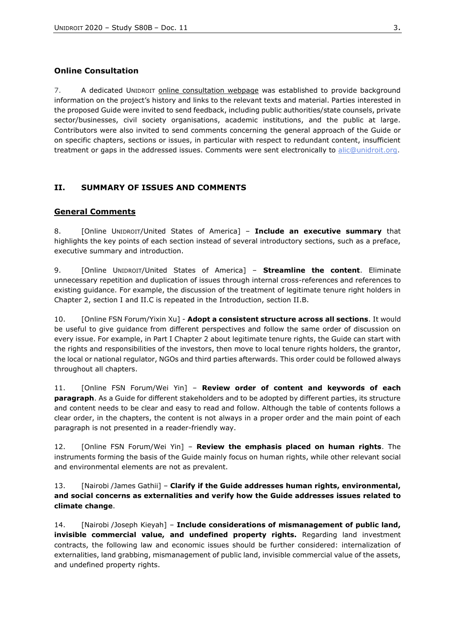## <span id="page-2-0"></span>**Online Consultation**

7. A dedicated UNIDROIT [online consultation webpage](https://www.unidroit.org/work-in-progress/agricultural-land-investment/online-consultation) was established to provide background information on the project's history and links to the relevant texts and material. Parties interested in the proposed Guide were invited to send feedback, including public authorities/state counsels, private sector/businesses, civil society organisations, academic institutions, and the public at large. Contributors were also invited to send comments concerning the general approach of the Guide or on specific chapters, sections or issues, in particular with respect to redundant content, insufficient treatment or gaps in the addressed issues. Comments were sent electronically to [alic@unidroit.org.](mailto:alic@unidroit.org)

# <span id="page-2-1"></span>**II. SUMMARY OF ISSUES AND COMMENTS**

## <span id="page-2-2"></span>**General Comments**

8. [Online UNIDROIT/United States of America] – **Include an executive summary** that highlights the key points of each section instead of several introductory sections, such as a preface, executive summary and introduction.

9. [Online UNIDROIT/United States of America] – **Streamline the content**. Eliminate unnecessary repetition and duplication of issues through internal cross-references and references to existing guidance. For example, the discussion of the treatment of legitimate tenure right holders in Chapter 2, section I and II.C is repeated in the Introduction, section II.B.

10. [Online FSN Forum/Yixin Xu] - **Adopt a consistent structure across all sections**. It would be useful to give guidance from different perspectives and follow the same order of discussion on every issue. For example, in Part I Chapter 2 about legitimate tenure rights, the Guide can start with the rights and responsibilities of the investors, then move to local tenure rights holders, the grantor, the local or national regulator, NGOs and third parties afterwards. This order could be followed always throughout all chapters.

11. [Online FSN Forum/Wei Yin] – **Review order of content and keywords of each paragraph**. As a Guide for different stakeholders and to be adopted by different parties, its structure and content needs to be clear and easy to read and follow. Although the table of contents follows a clear order, in the chapters, the content is not always in a proper order and the main point of each paragraph is not presented in a reader-friendly way.

12. [Online FSN Forum/Wei Yin] – **Review the emphasis placed on human rights**. The instruments forming the basis of the Guide mainly focus on human rights, while other relevant social and environmental elements are not as prevalent.

### 13. [Nairobi /James Gathii] – **Clarify if the Guide addresses human rights, environmental, and social concerns as externalities and verify how the Guide addresses issues related to climate change**.

14. [Nairobi /Joseph Kieyah] – **Include considerations of mismanagement of public land, invisible commercial value, and undefined property rights.** Regarding land investment contracts, the following law and economic issues should be further considered: internalization of externalities, land grabbing, mismanagement of public land, invisible commercial value of the assets, and undefined property rights.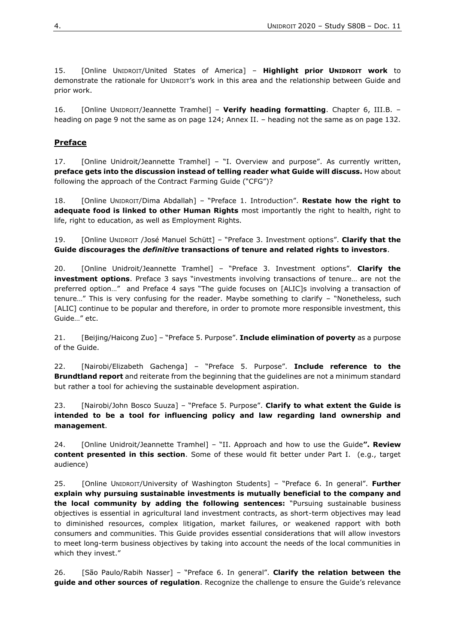15. [Online UNIDROIT/United States of America] – **Highlight prior UNIDROIT work** to demonstrate the rationale for UNIDROIT's work in this area and the relationship between Guide and prior work.

16. [Online UNIDROIT/Jeannette Tramhel] – **Verify heading formatting**. Chapter 6, III.B. – heading on page 9 not the same as on page 124; Annex II. – heading not the same as on page 132.

# <span id="page-3-0"></span>**Preface**

17. [Online Unidroit/Jeannette Tramhel] – "I. Overview and purpose". As currently written, **preface gets into the discussion instead of telling reader what Guide will discuss.** How about following the approach of the Contract Farming Guide ("CFG")?

18. [Online UNIDROIT/Dima Abdallah] – "Preface 1. Introduction". **Restate how the right to adequate food is linked to other Human Rights** most importantly the right to health, right to life, right to education, as well as Employment Rights.

19. [Online UNIDROIT /José Manuel Schütt] – "Preface 3. Investment options". **Clarify that the Guide discourages the** *definitive* **transactions of tenure and related rights to investors**.

20. [Online Unidroit/Jeannette Tramhel] – "Preface 3. Investment options". **Clarify the investment options**. Preface 3 says "investments involving transactions of tenure… are not the preferred option…" and Preface 4 says "The guide focuses on [ALIC]s involving a transaction of tenure…" This is very confusing for the reader. Maybe something to clarify – "Nonetheless, such [ALIC] continue to be popular and therefore, in order to promote more responsible investment, this Guide…" etc.

21. [Beijing/Haicong Zuo] – "Preface 5. Purpose". **Include elimination of poverty** as a purpose of the Guide.

22. [Nairobi/Elizabeth Gachenga] – "Preface 5. Purpose". **Include reference to the Brundtland report** and reiterate from the beginning that the guidelines are not a minimum standard but rather a tool for achieving the sustainable development aspiration.

23. [Nairobi/John Bosco Suuza] – "Preface 5. Purpose". **Clarify to what extent the Guide is intended to be a tool for influencing policy and law regarding land ownership and management**.

24. [Online Unidroit/Jeannette Tramhel] – "II. Approach and how to use the Guide**". Review content presented in this section**. Some of these would fit better under Part I. (e.g., target audience)

25. [Online UNIDROIT/University of Washington Students] – "Preface 6. In general". **Further explain why pursuing sustainable investments is mutually beneficial to the company and the local community by adding the following sentences:** "Pursuing sustainable business objectives is essential in agricultural land investment contracts, as short-term objectives may lead to diminished resources, complex litigation, market failures, or weakened rapport with both consumers and communities. This Guide provides essential considerations that will allow investors to meet long-term business objectives by taking into account the needs of the local communities in which they invest."

26. [São Paulo/Rabih Nasser] – "Preface 6. In general". **Clarify the relation between the guide and other sources of regulation**. Recognize the challenge to ensure the Guide's relevance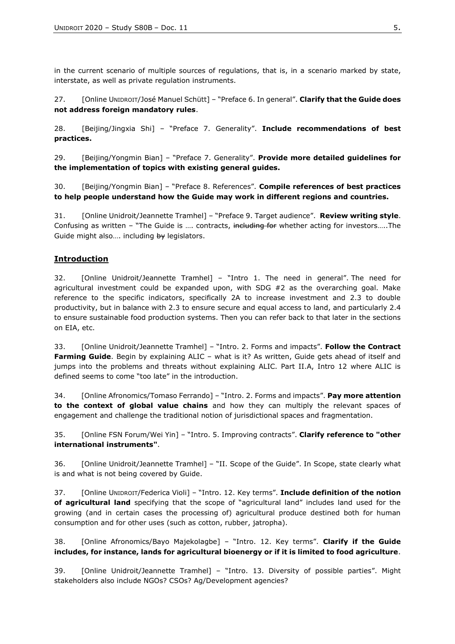in the current scenario of multiple sources of regulations, that is, in a scenario marked by state, interstate, as well as private regulation instruments.

27. [Online UNIDROIT/José Manuel Schütt] – "Preface 6. In general". **Clarify that the Guide does not address foreign mandatory rules**.

28. [Beijing/Jingxia Shi] – "Preface 7. Generality". **Include recommendations of best practices.**

29. [Beijing/Yongmin Bian] – "Preface 7. Generality". **Provide more detailed guidelines for the implementation of topics with existing general guides.** 

30. [Beijing/Yongmin Bian] – "Preface 8. References". **Compile references of best practices to help people understand how the Guide may work in different regions and countries.** 

31. [Online Unidroit/Jeannette Tramhel] – "Preface 9. Target audience". **Review writing style**. Confusing as written – "The Guide is .... contracts, including for whether acting for investors.....The Guide might also.... including by legislators.

## <span id="page-4-0"></span>**Introduction**

32. [Online Unidroit/Jeannette Tramhel] – "Intro 1. The need in general". The need for agricultural investment could be expanded upon, with SDG #2 as the overarching goal. Make reference to the specific indicators, specifically 2A to increase investment and 2.3 to double productivity, but in balance with 2.3 to ensure secure and equal access to land, and particularly 2.4 to ensure sustainable food production systems. Then you can refer back to that later in the sections on EIA, etc.

33. [Online Unidroit/Jeannette Tramhel] – "Intro. 2. Forms and impacts". **Follow the Contract Farming Guide**. Begin by explaining ALIC – what is it? As written, Guide gets ahead of itself and jumps into the problems and threats without explaining ALIC. Part II.A, Intro 12 where ALIC is defined seems to come "too late" in the introduction.

34. [Online Afronomics/Tomaso Ferrando] – "Intro. 2. Forms and impacts". **Pay more attention to the context of global value chains** and how they can multiply the relevant spaces of engagement and challenge the traditional notion of jurisdictional spaces and fragmentation.

35. [Online FSN Forum/Wei Yin] – "Intro. 5. Improving contracts". **Clarify reference to "other international instruments"**.

36. [Online Unidroit/Jeannette Tramhel] – "II. Scope of the Guide". In Scope, state clearly what is and what is not being covered by Guide.

37. [Online UNIDROIT/Federica Violi] – "Intro. 12. Key terms". **Include definition of the notion of agricultural land** specifying that the scope of "agricultural land" includes land used for the growing (and in certain cases the processing of) agricultural produce destined both for human consumption and for other uses (such as cotton, rubber, jatropha).

38. [Online Afronomics/Bayo Majekolagbe] – "Intro. 12. Key terms". **Clarify if the Guide includes, for instance, lands for agricultural bioenergy or if it is limited to food agriculture**.

39. [Online Unidroit/Jeannette Tramhel] – "Intro. 13. Diversity of possible parties". Might stakeholders also include NGOs? CSOs? Ag/Development agencies?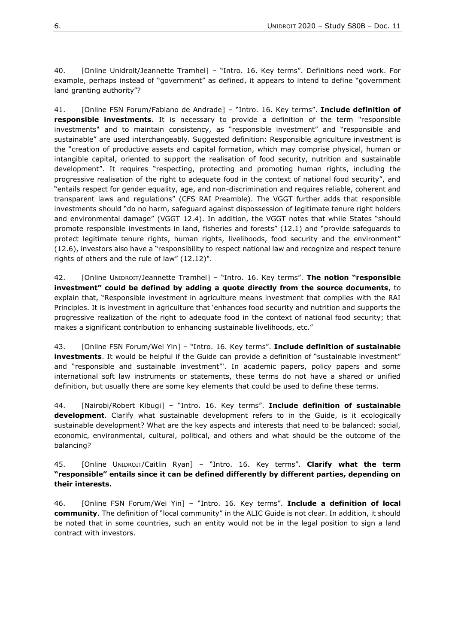40. [Online Unidroit/Jeannette Tramhel] – "Intro. 16. Key terms". Definitions need work. For example, perhaps instead of "government" as defined, it appears to intend to define "government land granting authority"?

41. [Online FSN Forum/Fabiano de Andrade] – "Intro. 16. Key terms". **Include definition of responsible investments**. It is necessary to provide a definition of the term "responsible investments" and to maintain consistency, as "responsible investment" and "responsible and sustainable" are used interchangeably. Suggested definition: Responsible agriculture investment is the "creation of productive assets and capital formation, which may comprise physical, human or intangible capital, oriented to support the realisation of food security, nutrition and sustainable development". It requires "respecting, protecting and promoting human rights, including the progressive realisation of the right to adequate food in the context of national food security", and "entails respect for gender equality, age, and non-discrimination and requires reliable, coherent and transparent laws and regulations" (CFS RAI Preamble). The VGGT further adds that responsible investments should "do no harm, safeguard against dispossession of legitimate tenure right holders and environmental damage" (VGGT 12.4). In addition, the VGGT notes that while States "should promote responsible investments in land, fisheries and forests" (12.1) and "provide safeguards to protect legitimate tenure rights, human rights, livelihoods, food security and the environment" (12.6), investors also have a "responsibility to respect national law and recognize and respect tenure rights of others and the rule of law" (12.12)".

42. [Online UNIDROIT/Jeannette Tramhel] – "Intro. 16. Key terms". **The notion "responsible investment" could be defined by adding a quote directly from the source documents**, to explain that, "Responsible investment in agriculture means investment that complies with the RAI Principles. It is investment in agriculture that 'enhances food security and nutrition and supports the progressive realization of the right to adequate food in the context of national food security; that makes a significant contribution to enhancing sustainable livelihoods, etc."

43. [Online FSN Forum/Wei Yin] – "Intro. 16. Key terms". **Include definition of sustainable investments**. It would be helpful if the Guide can provide a definition of "sustainable investment" and "responsible and sustainable investment"'. In academic papers, policy papers and some international soft law instruments or statements, these terms do not have a shared or unified definition, but usually there are some key elements that could be used to define these terms.

44. [Nairobi/Robert Kibugi] – "Intro. 16. Key terms". **Include definition of sustainable development**. Clarify what sustainable development refers to in the Guide, is it ecologically sustainable development? What are the key aspects and interests that need to be balanced: social, economic, environmental, cultural, political, and others and what should be the outcome of the balancing?

### 45. [Online UNIDROIT/Caitlin Ryan] – "Intro. 16. Key terms". **Clarify what the term "responsible" entails since it can be defined differently by different parties, depending on their interests.**

46. [Online FSN Forum/Wei Yin] – "Intro. 16. Key terms". **Include a definition of local community**. The definition of "local community" in the ALIC Guide is not clear. In addition, it should be noted that in some countries, such an entity would not be in the legal position to sign a land contract with investors.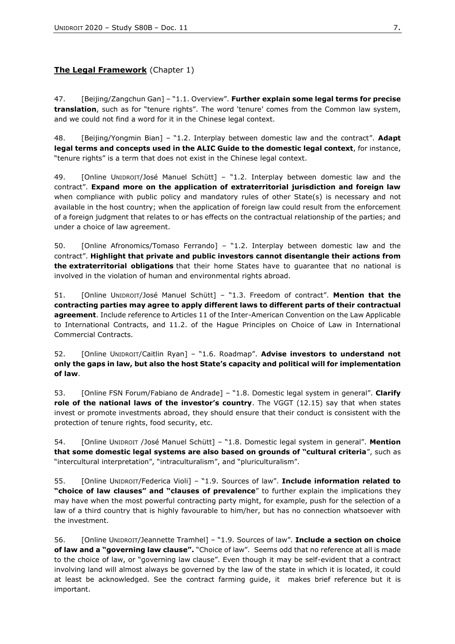# <span id="page-6-0"></span>**The Legal Framework** (Chapter 1)

47. [Beijing/Zangchun Gan] – "1.1. Overview". **Further explain some legal terms for precise translation**, such as for "tenure rights". The word 'tenure' comes from the Common law system, and we could not find a word for it in the Chinese legal context.

48. [Beijing/Yongmin Bian] – "1.2. Interplay between domestic law and the contract". **Adapt legal terms and concepts used in the ALIC Guide to the domestic legal context**, for instance, "tenure rights" is a term that does not exist in the Chinese legal context.

49. [Online UNIDROIT/José Manuel Schütt] – "1.2. Interplay between domestic law and the contract". **Expand more on the application of extraterritorial jurisdiction and foreign law** when compliance with public policy and mandatory rules of other State(s) is necessary and not available in the host country; when the application of foreign law could result from the enforcement of a foreign judgment that relates to or has effects on the contractual relationship of the parties; and under a choice of law agreement.

50. [Online Afronomics/Tomaso Ferrando] – "1.2. Interplay between domestic law and the contract". **Highlight that private and public investors cannot disentangle their actions from the extraterritorial obligations** that their home States have to guarantee that no national is involved in the violation of human and environmental rights abroad.

51. [Online UNIDROIT/José Manuel Schütt] – "1.3. Freedom of contract". **Mention that the contracting parties may agree to apply different laws to different parts of their contractual agreement**. Include reference to Articles 11 of the Inter-American Convention on the Law Applicable to International Contracts, and 11.2. of the Hague Principles on Choice of Law in International Commercial Contracts.

52. [Online UNIDROIT/Caitlin Ryan] – "1.6. Roadmap". **Advise investors to understand not only the gaps in law, but also the host State's capacity and political will for implementation of law**.

53. [Online FSN Forum/Fabiano de Andrade] – "1.8. Domestic legal system in general". **Clarify role of the national laws of the investor's country**. The VGGT (12.15) say that when states invest or promote investments abroad, they should ensure that their conduct is consistent with the protection of tenure rights, food security, etc.

54. [Online UNIDROIT /José Manuel Schütt] – "1.8. Domestic legal system in general". **Mention that some domestic legal systems are also based on grounds of "cultural criteria**", such as "intercultural interpretation", "intraculturalism", and "pluriculturalism".

55. [Online UNIDROIT/Federica Violi] – "1.9. Sources of law". **Include information related to "choice of law clauses" and "clauses of prevalence**" to further explain the implications they may have when the most powerful contracting party might, for example, push for the selection of a law of a third country that is highly favourable to him/her, but has no connection whatsoever with the investment.

56. [Online UNIDROIT/Jeannette Tramhel] – "1.9. Sources of law". **Include a section on choice of law and a "governing law clause".** "Choice of law". Seems odd that no reference at all is made to the choice of law, or "governing law clause". Even though it may be self-evident that a contract involving land will almost always be governed by the law of the state in which it is located, it could at least be acknowledged. See the contract farming guide, it makes brief reference but it is important.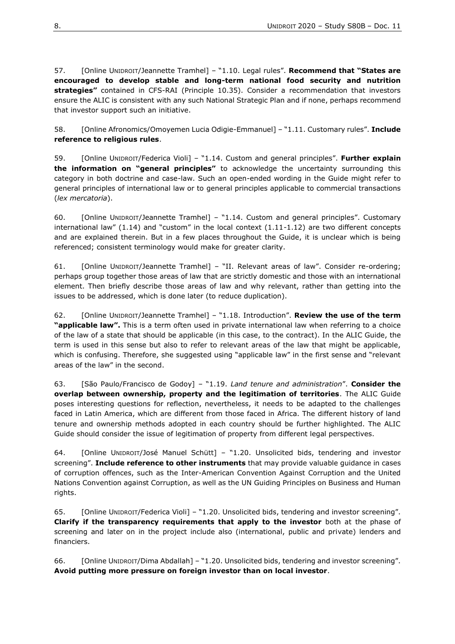57. [Online UNIDROIT/Jeannette Tramhel] – "1.10. Legal rules". **Recommend that "States are encouraged to develop stable and long-term national food security and nutrition strategies"** contained in CFS-RAI (Principle 10.35). Consider a recommendation that investors ensure the ALIC is consistent with any such National Strategic Plan and if none, perhaps recommend that investor support such an initiative.

58. [Online Afronomics/Omoyemen Lucia Odigie-Emmanuel] – "1.11. Customary rules". **Include reference to religious rules**.

59. [Online UNIDROIT/Federica Violi] – "1.14. Custom and general principles". **Further explain the information on "general principles"** to acknowledge the uncertainty surrounding this category in both doctrine and case-law. Such an open-ended wording in the Guide might refer to general principles of international law or to general principles applicable to commercial transactions (*lex mercatoria*).

60. [Online UNIDROIT/Jeannette Tramhel] – "1.14. Custom and general principles". Customary international law" (1.14) and "custom" in the local context (1.11-1.12) are two different concepts and are explained therein. But in a few places throughout the Guide, it is unclear which is being referenced; consistent terminology would make for greater clarity.

61. [Online UNIDROIT/Jeannette Tramhel] – "II. Relevant areas of law". Consider re-ordering; perhaps group together those areas of law that are strictly domestic and those with an international element. Then briefly describe those areas of law and why relevant, rather than getting into the issues to be addressed, which is done later (to reduce duplication).

62. [Online UNIDROIT/Jeannette Tramhel] – "1.18. Introduction". **Review the use of the term "applicable law".** This is a term often used in private international law when referring to a choice of the law of a state that should be applicable (in this case, to the contract). In the ALIC Guide, the term is used in this sense but also to refer to relevant areas of the law that might be applicable, which is confusing. Therefore, she suggested using "applicable law" in the first sense and "relevant areas of the law" in the second.

63. [São Paulo/Francisco de Godoy] – "1.19. *Land tenure and administration*". **Consider the overlap between ownership, property and the legitimation of territories**. The ALIC Guide poses interesting questions for reflection, nevertheless, it needs to be adapted to the challenges faced in Latin America, which are different from those faced in Africa. The different history of land tenure and ownership methods adopted in each country should be further highlighted. The ALIC Guide should consider the issue of legitimation of property from different legal perspectives.

64. [Online UNIDROIT/José Manuel Schütt] – "1.20. Unsolicited bids, tendering and investor screening". **Include reference to other instruments** that may provide valuable guidance in cases of corruption offences, such as the Inter-American Convention Against Corruption and the United Nations Convention against Corruption, as well as the UN Guiding Principles on Business and Human rights.

65. [Online UNIDROIT/Federica Violi] – "1.20. Unsolicited bids, tendering and investor screening". **Clarify if the transparency requirements that apply to the investor** both at the phase of screening and later on in the project include also (international, public and private) lenders and financiers.

66. [Online UNIDROIT/Dima Abdallah] – "1.20. Unsolicited bids, tendering and investor screening". **Avoid putting more pressure on foreign investor than on local investor**.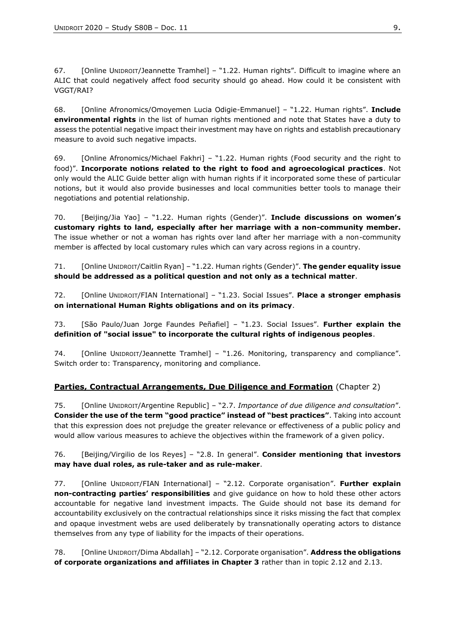67. [Online UNIDROIT/Jeannette Tramhel] – "1.22. Human rights". Difficult to imagine where an ALIC that could negatively affect food security should go ahead. How could it be consistent with VGGT/RAI?

68. [Online Afronomics/Omoyemen Lucia Odigie-Emmanuel] – "1.22. Human rights". **Include environmental rights** in the list of human rights mentioned and note that States have a duty to assess the potential negative impact their investment may have on rights and establish precautionary measure to avoid such negative impacts.

69. [Online Afronomics/Michael Fakhri] – "1.22. Human rights (Food security and the right to food)". **Incorporate notions related to the right to food and agroecological practices**. Not only would the ALIC Guide better align with human rights if it incorporated some these of particular notions, but it would also provide businesses and local communities better tools to manage their negotiations and potential relationship.

70. [Beijing/Jia Yao] – "1.22. Human rights (Gender)". **Include discussions on women's customary rights to land, especially after her marriage with a non-community member.** The issue whether or not a woman has rights over land after her marriage with a non-community member is affected by local customary rules which can vary across regions in a country.

71. [Online UNIDROIT/Caitlin Ryan] – "1.22. Human rights (Gender)". **The gender equality issue should be addressed as a political question and not only as a technical matter**.

72. [Online UNIDROIT/FIAN International] – "1.23. Social Issues". **Place a stronger emphasis on international Human Rights obligations and on its primacy**.

73. [São Paulo/Juan Jorge Faundes Peñafiel] – "1.23. Social Issues". **Further explain the definition of "social issue" to incorporate the cultural rights of indigenous peoples**.

74. [Online UNIDROIT/Jeannette Tramhel] – "1.26. Monitoring, transparency and compliance". Switch order to: Transparency, monitoring and compliance.

# <span id="page-8-0"></span>**Parties, Contractual Arrangements, Due Diligence and Formation** (Chapter 2)

75. [Online UNIDROIT/Argentine Republic] – "2.7. *Importance of due diligence and consultation*". **Consider the use of the term "good practice" instead of "best practices"**. Taking into account that this expression does not prejudge the greater relevance or effectiveness of a public policy and would allow various measures to achieve the objectives within the framework of a given policy.

## 76. [Beijing/Virgilio de los Reyes] – "2.8. In general". **Consider mentioning that investors may have dual roles, as rule-taker and as rule-maker**.

77. [Online UNIDROIT/FIAN International] – "2.12. Corporate organisation". **Further explain non-contracting parties' responsibilities** and give guidance on how to hold these other actors accountable for negative land investment impacts. The Guide should not base its demand for accountability exclusively on the contractual relationships since it risks missing the fact that complex and opaque investment webs are used deliberately by transnationally operating actors to [d](https://www.tandfonline.com/doi/abs/10.1080/03066150.2013.875536)istance themselves from any type of liability for the impacts of their operations.

78. [Online UNIDROIT/Dima Abdallah] – "2.12. Corporate organisation". **Address the obligations of corporate organizations and affiliates in Chapter 3** rather than in topic 2.12 and 2.13.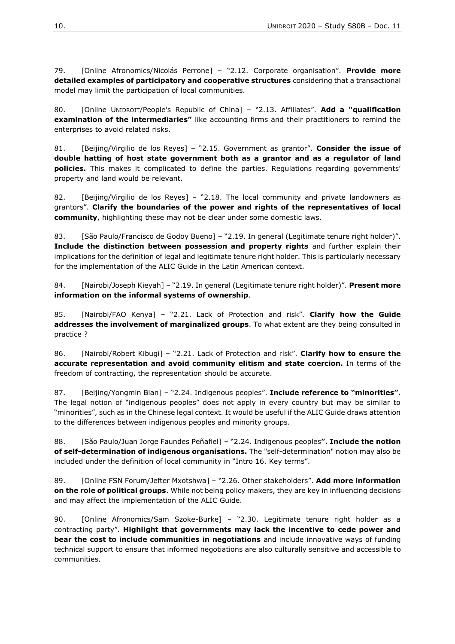79. [Online Afronomics/Nicolás Perrone] – "2.12. Corporate organisation". **Provide more detailed examples of participatory and cooperative structures** considering that a transactional model may limit the participation of local communities.

80. [Online UNIDROIT/People's Republic of China] – "2.13. Affiliates". **Add a "qualification examination of the intermediaries"** like accounting firms and their practitioners to remind the enterprises to avoid related risks.

81. [Beijing/Virgilio de los Reyes] – "2.15. Government as grantor". **Consider the issue of double hatting of host state government both as a grantor and as a regulator of land policies.** This makes it complicated to define the parties. Regulations regarding governments' property and land would be relevant.

82. [Beijing/Virgilio de los Reyes] – "2.18. The local community and private landowners as grantors". **Clarify the boundaries of the power and rights of the representatives of local community**, highlighting these may not be clear under some domestic laws.

83. [São Paulo/Francisco de Godoy Bueno] – "2.19. In general (Legitimate tenure right holder)". **Include the distinction between possession and property rights** and further explain their implications for the definition of legal and legitimate tenure right holder. This is particularly necessary for the implementation of the ALIC Guide in the Latin American context.

84. [Nairobi/Joseph Kieyah] – "2.19. In general (Legitimate tenure right holder)". **Present more information on the informal systems of ownership**.

85. [Nairobi/FAO Kenya] – "2.21. Lack of Protection and risk". **Clarify how the Guide addresses the involvement of marginalized groups**. To what extent are they being consulted in practice ?

86. [Nairobi/Robert Kibugi] – "2.21. Lack of Protection and risk". **Clarify how to ensure the accurate representation and avoid community elitism and state coercion.** In terms of the freedom of contracting, the representation should be accurate.

87. [Beijing/Yongmin Bian] – "2.24. Indigenous peoples". **Include reference to "minorities".** The legal notion of "indigenous peoples" does not apply in every country but may be similar to "minorities", such as in the Chinese legal context. It would be useful if the ALIC Guide draws attention to the differences between indigenous peoples and minority groups.

88. [São Paulo/Juan Jorge Faundes Peñafiel] – "2.24. Indigenous peoples**". Include the notion of self-determination of indigenous organisations.** The "self-determination" notion may also be included under the definition of local community in "Intro 16. Key terms".

89. [Online FSN Forum/Jefter Mxotshwa] – "2.26. Other stakeholders". **Add more information on the role of political groups**. While not being policy makers, they are key in influencing decisions and may affect the implementation of the ALIC Guide.

90. [Online Afronomics/Sam Szoke-Burke] – "2.30. Legitimate tenure right holder as a contracting party". **Highlight that governments may lack the incentive to cede power and bear the cost to include communities in negotiations** and include innovative ways of funding technical support to ensure that informed negotiations are also culturally sensitive and accessible to communities.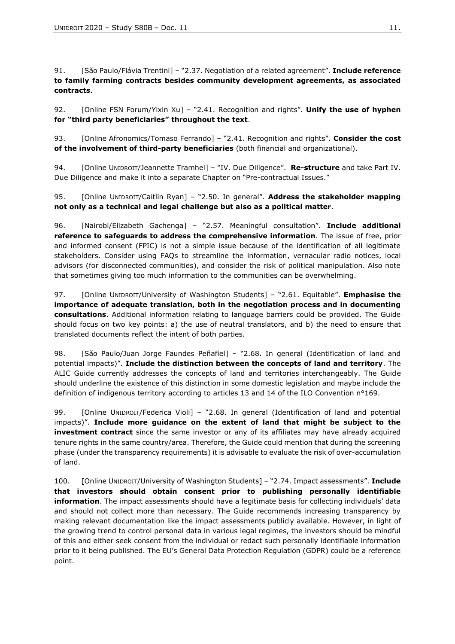91. [São Paulo/Flávia Trentini] – "2.37. Negotiation of a related agreement". **Include reference to family farming contracts besides community development agreements, as associated contracts**.

92. [Online FSN Forum/Yixin Xu] – "2.41. Recognition and rights". **Unify the use of hyphen for "third party beneficiaries" throughout the text**.

93. [Online Afronomics/Tomaso Ferrando] – "2.41. Recognition and rights". **Consider the cost of the involvement of third-party beneficiaries** (both financial and organizational).

94. [Online UNIDROIT/Jeannette Tramhel] – "IV. Due Diligence". **Re-structure** and take Part IV. Due Diligence and make it into a separate Chapter on "Pre-contractual Issues."

95. [Online UNIDROIT/Caitlin Ryan] – "2.50. In general". **Address the stakeholder mapping not only as a technical and legal challenge but also as a political matter**.

96. [Nairobi/Elizabeth Gachenga] – "2.57. Meaningful consultation". **Include additional reference to safeguards to address the comprehensive information**. The issue of free, prior and informed consent (FPIC) is not a simple issue because of the identification of all legitimate stakeholders. Consider using FAQs to streamline the information, vernacular radio notices, local advisors (for disconnected communities), and consider the risk of political manipulation. Also note that sometimes giving too much information to the communities can be overwhelming.

97. [Online UNIDROIT/University of Washington Students] – "2.61. Equitable". **Emphasise the importance of adequate translation, both in the negotiation process and in documenting consultations**. Additional information relating to language barriers could be provided. The Guide should focus on two key points: a) the use of neutral translators, and b) the need to ensure that translated documents reflect the intent of both parties.

98. [São Paulo/Juan Jorge Faundes Peñafiel] – "2.68. In general (Identification of land and potential impacts)". **Include the distinction between the concepts of land and territory**. The ALIC Guide currently addresses the concepts of land and territories interchangeably. The Guide should underline the existence of this distinction in some domestic legislation and maybe include the definition of indigenous territory according to articles 13 and 14 of the ILO Convention n°169.

99. [Online UNIDROIT/Federica Violi] – "2.68. In general (Identification of land and potential impacts)". **Include more guidance on the extent of land that might be subject to the investment contract** since the same investor or any of its affiliates may have already acquired tenure rights in the same country/area. Therefore, the Guide could mention that during the screening phase (under the transparency requirements) it is advisable to evaluate the risk of over-accumulation of land.

100. [Online UNIDROIT/University of Washington Students] – "2.74. Impact assessments". **Include that investors should obtain consent prior to publishing personally identifiable information**. The impact assessments should have a legitimate basis for collecting individuals' data and should not collect more than necessary. The Guide recommends increasing transparency by making relevant documentation like the impact assessments publicly available. However, in light of the growing trend to control personal data in various legal regimes, the investors should be mindful of this and either seek consent from the individual or redact such personally identifiable information prior to it being published. The EU's General Data Protection Regulation (GDPR) could be a reference point.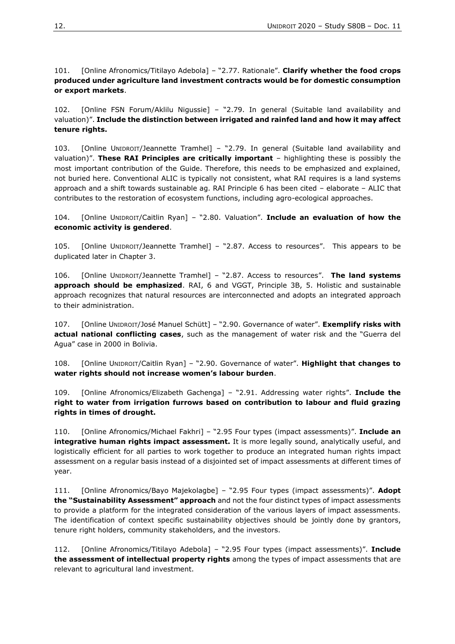101. [Online Afronomics/Titilayo Adebola] – "2.77. Rationale". **Clarify whether the food crops produced under agriculture land investment contracts would be for domestic consumption or export markets**.

102. [Online FSN Forum/Aklilu Nigussie] – "2.79. In general (Suitable land availability and valuation)". **Include the distinction between irrigated and rainfed land and how it may affect tenure rights.**

103. [Online UNIDROIT/Jeannette Tramhel] – "2.79. In general (Suitable land availability and valuation)". **These RAI Principles are critically important** – highlighting these is possibly the most important contribution of the Guide. Therefore, this needs to be emphasized and explained, not buried here. Conventional ALIC is typically not consistent, what RAI requires is a land systems approach and a shift towards sustainable ag. RAI Principle 6 has been cited – elaborate – ALIC that contributes to the restoration of ecosystem functions, including agro-ecological approaches.

104. [Online UNIDROIT/Caitlin Ryan] – "2.80. Valuation". **Include an evaluation of how the economic activity is gendered**.

105. [Online UNIDROIT/Jeannette Tramhel] – "2.87. Access to resources". This appears to be duplicated later in Chapter 3.

106. [Online UNIDROIT/Jeannette Tramhel] – "2.87. Access to resources". **The land systems approach should be emphasized**. RAI, 6 and VGGT, Principle 3B, 5. Holistic and sustainable approach recognizes that natural resources are interconnected and adopts an integrated approach to their administration.

107. [Online UNIDROIT/José Manuel Schütt] – "2.90. Governance of water". **Exemplify risks with actual national conflicting cases**, such as the management of water risk and the "Guerra del Agua" case in 2000 in Bolivia.

108. [Online UNIDROIT/Caitlin Ryan] – "2.90. Governance of water". **Highlight that changes to water rights should not increase women's labour burden**.

109. [Online Afronomics/Elizabeth Gachenga] – "2.91. Addressing water rights". **Include the right to water from irrigation furrows based on contribution to labour and fluid grazing rights in times of drought.**

110. [Online Afronomics/Michael Fakhri] – "2.95 Four types (impact assessments)". **Include an integrative human rights impact assessment.** It is more legally sound, analytically useful, and logistically efficient for all parties to work together to produce an integrated human rights impact assessment on a regular basis instead of a disjointed set of impact assessments at different times of year.

111. [Online Afronomics/Bayo Majekolagbe] – "2.95 Four types (impact assessments)". **Adopt the "Sustainability Assessment" approach** and not the four distinct types of impact assessments to provide a platform for the integrated consideration of the various layers of impact assessments. The identification of context specific sustainability objectives should be jointly done by grantors, tenure right holders, community stakeholders, and the investors.

112. [Online Afronomics/Titilayo Adebola] – "2.95 Four types (impact assessments)". **Include the assessment of intellectual property rights** among the types of impact assessments that are relevant to agricultural land investment.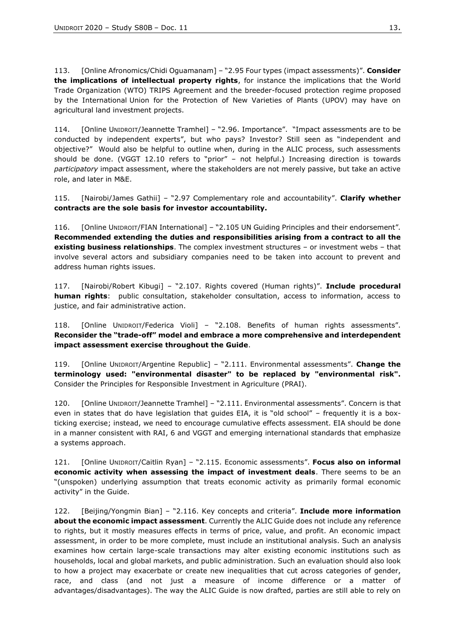113. [Online Afronomics/Chidi Oguamanam] – "2.95 Four types (impact assessments)". **Consider the implications of intellectual property rights**, for instance the implications that the World Trade Organization (WTO) TRIPS Agreement and the breeder-focused protection regime proposed by the International Union for the Protection of New Varieties of Plants (UPOV) may have on agricultural land investment projects.

114. [Online UNIDROIT/Jeannette Tramhel] – "2.96. Importance". "Impact assessments are to be conducted by independent experts", but who pays? Investor? Still seen as "independent and objective?" Would also be helpful to outline when, during in the ALIC process, such assessments should be done. (VGGT 12.10 refers to "prior" – not helpful.) Increasing direction is towards *participatory* impact assessment, where the stakeholders are not merely passive, but take an active role, and later in M&E.

115. [Nairobi/James Gathii] – "2.97 Complementary role and accountability". **Clarify whether contracts are the sole basis for investor accountability.**

116. [Online UNIDROIT/FIAN International] – "2.105 UN Guiding Principles and their endorsement"*.* **Recommended extending the duties and responsibilities arising from a contract to all the existing business relationships**. The complex investment structures – o[r](https://doi.org/10.1080/14747731.2019.1669384) investment webs – that involve several actors and subsidiary companies need to be taken into account to prevent and address human rights issues.

117. [Nairobi/Robert Kibugi] – "2.107. Rights covered (Human rights)". **Include procedural human rights**: public consultation, stakeholder consultation, access to information, access to justice, and fair administrative action.

118. [Online UNIDROIT/Federica Violi] – "2.108. Benefits of human rights assessments". **Reconsider the "trade-off" model and embrace a more comprehensive and interdependent impact assessment exercise throughout the Guide**.

119. [Online UNIDROIT/Argentine Republic] – "2.111. Environmental assessments". **Change the terminology used: "environmental disaster" to be replaced by "environmental risk".**  Consider the Principles for Responsible Investment in Agriculture (PRAI).

120. [Online UNIDROIT/Jeannette Tramhel] – "2.111. Environmental assessments". Concern is that even in states that do have legislation that guides EIA, it is "old school" – frequently it is a boxticking exercise; instead, we need to encourage cumulative effects assessment. EIA should be done in a manner consistent with RAI, 6 and VGGT and emerging international standards that emphasize a systems approach.

121. [Online UNIDROIT/Caitlin Ryan] – "2.115. Economic assessments". **Focus also on informal economic activity when assessing the impact of investment deals**. There seems to be an "(unspoken) underlying assumption that treats economic activity as primarily formal economic activity" in the Guide.

122. [Beijing/Yongmin Bian] – "2.116. Key concepts and criteria". **Include more information about the economic impact assessment**. Currently the ALIC Guide does not include any reference to rights, but it mostly measures effects in terms of price, value, and profit. An economic impact assessment, in order to be more complete, must include an institutional analysis. Such an analysis examines how certain large-scale transactions may alter existing economic institutions such as households, local and global markets, and public administration. Such an evaluation should also look to how a project may exacerbate or create new inequalities that cut across categories of gender, race, and class (and not just a measure of income difference or a matter of advantages/disadvantages). The way the ALIC Guide is now drafted, parties are still able to rely on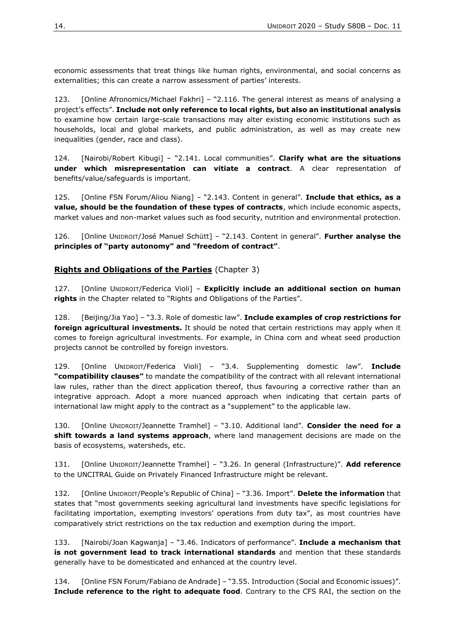economic assessments that treat things like human rights, environmental, and social concerns as externalities; this can create a narrow assessment of parties' interests.

123. [Online Afronomics/Michael Fakhri] – "2.116. The general interest as means of analysing a project's effects". **Include not only reference to local rights, but also an institutional analysis** to examine how certain large-scale transactions may alter existing economic institutions such as households, local and global markets, and public administration, as well as may create new inequalities (gender, race and class).

124. [Nairobi/Robert Kibugi] – "2.141. Local communities". **Clarify what are the situations under which misrepresentation can vitiate a contract**. A clear representation of benefits/value/safeguards is important.

125. [Online FSN Forum/Aliou Niang] – "2.143. Content in general". **Include that ethics, as a value, should be the foundation of these types of contracts**, which include economic aspects, market values and non-market values such as food security, nutrition and environmental protection.

126. [Online UNIDROIT/José Manuel Schütt] – "2.143. Content in general". **Further analyse the principles of "party autonomy" and "freedom of contract"**.

#### <span id="page-13-0"></span>**Rights and Obligations of the Parties** (Chapter 3)

127. [Online UNIDROIT/Federica Violi] – **Explicitly include an additional section on human rights** in the Chapter related to "Rights and Obligations of the Parties".

128. [Beijing/Jia Yao] – "3.3. Role of domestic law". **Include examples of crop restrictions for foreign agricultural investments.** It should be noted that certain restrictions may apply when it comes to foreign agricultural investments. For example, in China corn and wheat seed production projects cannot be controlled by foreign investors.

129. [Online UNIDROIT/Federica Violi] – "3.4. Supplementing domestic law". **Include "compatibility clauses"** to mandate the compatibility of the contract with all relevant international law rules, rather than the direct application thereof, thus favouring a corrective rather than an integrative approach. Adopt a more nuanced approach when indicating that certain parts of international law might apply to the contract as a "supplement" to the applicable law.

130. [Online UNIDROIT/Jeannette Tramhel] – "3.10. Additional land". **Consider the need for a shift towards a land systems approach**, where land management decisions are made on the basis of ecosystems, watersheds, etc.

131. [Online UNIDROIT/Jeannette Tramhel] – "3.26. In general (Infrastructure)". **Add reference** to the UNCITRAL Guide on Privately Financed Infrastructure might be relevant.

132. [Online UNIDROIT/People's Republic of China] – "3.36. Import". **Delete the information** that states that "most governments seeking agricultural land investments have specific legislations for facilitating importation, exempting investors' operations from duty tax", as most countries have comparatively strict restrictions on the tax reduction and exemption during the import.

133. [Nairobi/Joan Kagwanja] – "3.46. Indicators of performance". **Include a mechanism that is not government lead to track international standards** and mention that these standards generally have to be domesticated and enhanced at the country level.

134. [Online FSN Forum/Fabiano de Andrade] – "3.55. Introduction (Social and Economic issues)". **Include reference to the right to adequate food**. Contrary to the CFS RAI, the section on the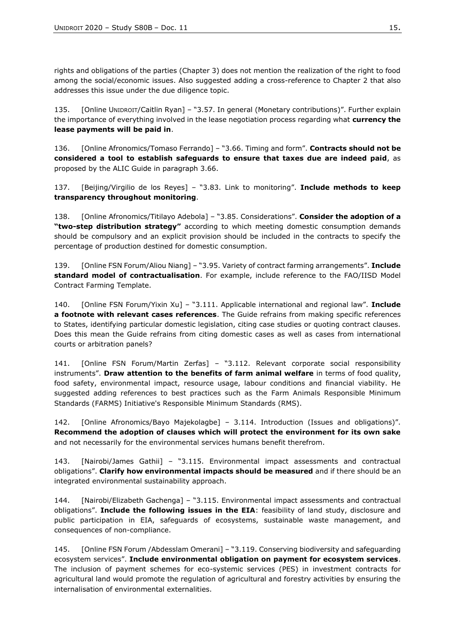rights and obligations of the parties (Chapter 3) does not mention the realization of the right to food among the social/economic issues. Also suggested adding a cross-reference to Chapter 2 that also addresses this issue under the due diligence topic.

135. [Online UNIDROIT/Caitlin Ryan] – "3.57. In general (Monetary contributions)". Further explain the importance of everything involved in the lease negotiation process regarding what **currency the lease payments will be paid in**.

136. [Online Afronomics/Tomaso Ferrando] – "3.66. Timing and form". **Contracts should not be considered a tool to establish safeguards to ensure that taxes due are indeed paid**, as proposed by the ALIC Guide in paragraph 3.66.

137. [Beijing/Virgilio de los Reyes] – "3.83. Link to monitoring". **Include methods to keep transparency throughout monitoring**.

138. [Online Afronomics/Titilayo Adebola] – "3.85. Considerations". **Consider the adoption of a "two-step distribution strategy"** according to which meeting domestic consumption demands should be compulsory and an explicit provision should be included in the contracts to specify the percentage of production destined for domestic consumption.

139. [Online FSN Forum/Aliou Niang] – "3.95. Variety of contract farming arrangements". **Include standard model of contractualisation**. For example, include reference to the FAO/IISD Model Contract Farming Template.

140. [Online FSN Forum/Yixin Xu] – "3.111. Applicable international and regional law". **Include a footnote with relevant cases references**. The Guide refrains from making specific references to States, identifying particular domestic legislation, citing case studies or quoting contract clauses. Does this mean the Guide refrains from citing domestic cases as well as cases from international courts or arbitration panels?

141. [Online FSN Forum/Martin Zerfas] – "3.112. Relevant corporate social responsibility instruments". **Draw attention to the benefits of farm animal welfare** in terms of food quality, food safety, environmental impact, resource usage, labour conditions and financial viability. He suggested adding references to best practices such as the Farm Animals Responsible Minimum Standards (FARMS) Initiative's Responsible Minimum Standards (RMS).

142. [Online Afronomics/Bayo Majekolagbe] – 3.114. Introduction (Issues and obligations)". **Recommend the adoption of clauses which will protect the environment for its own sake** and not necessarily for the environmental services humans benefit therefrom.

143. [Nairobi/James Gathii] – "3.115. Environmental impact assessments and contractual obligations". **Clarify how environmental impacts should be measured** and if there should be an integrated environmental sustainability approach.

144. [Nairobi/Elizabeth Gachenga] – "3.115. Environmental impact assessments and contractual obligations". **Include the following issues in the EIA**: feasibility of land study, disclosure and public participation in EIA, safeguards of ecosystems, sustainable waste management, and consequences of non-compliance.

145. [Online FSN Forum /Abdesslam Omerani] – "3.119. Conserving biodiversity and safeguarding ecosystem services". **Include environmental obligation on payment for ecosystem services**. The inclusion of payment schemes for eco-systemic services (PES) in investment contracts for agricultural land would promote the regulation of agricultural and forestry activities by ensuring the internalisation of environmental externalities.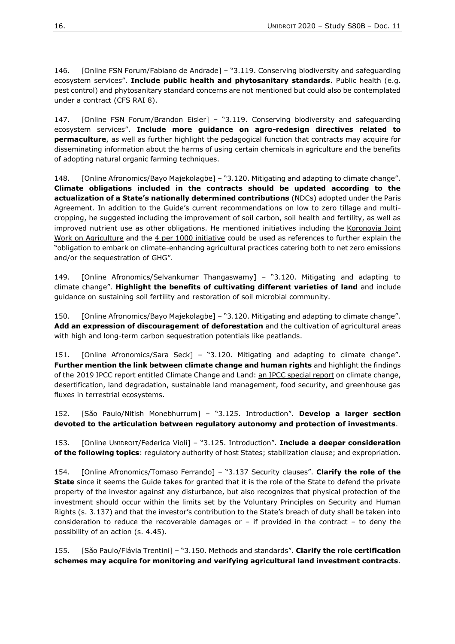146. [Online FSN Forum/Fabiano de Andrade] – "3.119. Conserving biodiversity and safeguarding ecosystem services". **Include public health and phytosanitary standards**. Public health (e.g. pest control) and phytosanitary standard concerns are not mentioned but could also be contemplated under a contract (CFS RAI 8).

147. [Online FSN Forum/Brandon Eisler] – "3.119. Conserving biodiversity and safeguarding ecosystem services". **Include more guidance on agro-redesign directives related to permaculture**, as well as further highlight the pedagogical function that contracts may acquire for disseminating information about the harms of using certain chemicals in agriculture and the benefits of adopting natural organic farming techniques.

148. [Online Afronomics/Bayo Majekolagbe] – "3.120. Mitigating and adapting to climate change". **Climate obligations included in the contracts should be updated according to the actualization of a State's nationally determined contributions** (NDCs) adopted under the Paris Agreement. In addition to the Guide's current recommendations on low to zero tillage and multicropping, he suggested including the improvement of soil carbon, soil health and fertility, as well as improved nutrient use as other obligations. He mentioned initiatives including the Koronovia Joint [Work on Agriculture](https://unfccc.int/topics/land-use/workstreams/agriculture) and the [4 per 1000 initiative](https://www.4p1000.org/) could be used as references to further explain the "obligation to embark on climate-enhancing agricultural practices catering both to net zero emissions and/or the sequestration of GHG".

149. [Online Afronomics/Selvankumar Thangaswamy] – "3.120. Mitigating and adapting to climate change". **Highlight the benefits of cultivating different varieties of land** and include guidance on sustaining soil fertility and restoration of soil microbial community.

150. [Online Afronomics/Bayo Majekolagbe] – "3.120. Mitigating and adapting to climate change". **Add an expression of discouragement of deforestation** and the cultivation of agricultural areas with high and long-term carbon sequestration potentials like peatlands.

151. [Online Afronomics/Sara Seck] – "3.120. Mitigating and adapting to climate change". **Further mention the link between climate change and human rights** and highlight the findings of the 2019 IPCC report entitled Climate Change and Land: [an IPCC special report](https://www.ipcc.ch/srccl-report-download-page/) on climate change, desertification, land degradation, sustainable land management, food security, and greenhouse gas fluxes in terrestrial ecosystems.

152. [São Paulo/Nitish Monebhurrum] – "3.125. Introduction". **Develop a larger section devoted to the articulation between regulatory autonomy and protection of investments**.

153. [Online UNIDROIT/Federica Violi] – "3.125. Introduction". **Include a deeper consideration of the following topics**: regulatory authority of host States; stabilization clause; and expropriation.

154. [Online Afronomics/Tomaso Ferrando] – "3.137 Security clauses". **Clarify the role of the State** since it seems the Guide takes for granted that it is the role of the State to defend the private property of the investor against any disturbance, but also recognizes that physical protection of the investment should occur within the limits set by the Voluntary Principles on Security and Human Rights (s. 3.137) and that the investor's contribution to the State's breach of duty shall be taken into consideration to reduce the recoverable damages or  $-$  if provided in the contract  $-$  to deny the possibility of an action (s. 4.45).

155. [São Paulo/Flávia Trentini] – "3.150. Methods and standards". **Clarify the role certification schemes may acquire for monitoring and verifying agricultural land investment contracts**.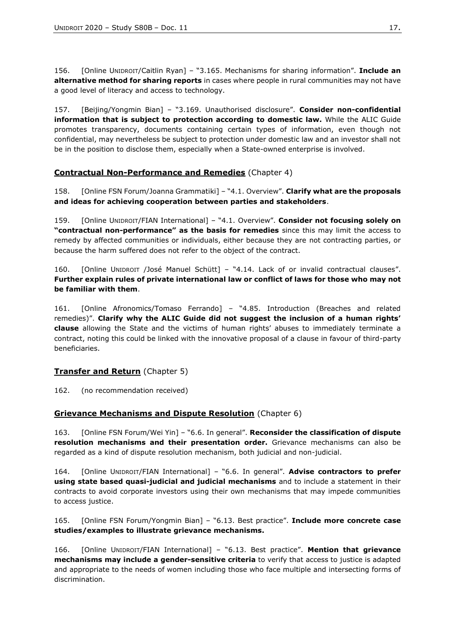156. [Online UNIDROIT/Caitlin Ryan] – "3.165. Mechanisms for sharing information". **Include an alternative method for sharing reports** in cases where people in rural communities may not have a good level of literacy and access to technology.

157. [Beijing/Yongmin Bian] – "3.169. Unauthorised disclosure". **Consider non-confidential information that is subject to protection according to domestic law.** While the ALIC Guide promotes transparency, documents containing certain types of information, even though not confidential, may nevertheless be subject to protection under domestic law and an investor shall not be in the position to disclose them, especially when a State-owned enterprise is involved.

## <span id="page-16-0"></span>**Contractual Non-Performance and Remedies** (Chapter 4)

158. [Online FSN Forum/Joanna Grammatiki] – "4.1. Overview". **Clarify what are the proposals and ideas for achieving cooperation between parties and stakeholders**.

159. [Online UNIDROIT/FIAN International] – "4.1. Overview". **Consider not focusing solely on "contractual non-performance" as the basis for remedies** since this may limit the access to remedy by affected communities or individuals, either because they are not contracting parties, or because the harm suffered does not refer to the object of the contract.

160. [Online UNIDROIT /José Manuel Schütt] – "4.14. Lack of or invalid contractual clauses". **Further explain rules of private international law or conflict of laws for those who may not be familiar with them**.

161. [Online Afronomics/Tomaso Ferrando] – "4.85. Introduction (Breaches and related remedies)". **Clarify why the ALIC Guide did not suggest the inclusion of a human rights' clause** allowing the State and the victims of human rights' abuses to immediately terminate a contract, noting this could be linked with the innovative proposal of a clause in favour of third-party beneficiaries.

# <span id="page-16-1"></span>**Transfer and Return** (Chapter 5)

162. (no recommendation received)

#### <span id="page-16-2"></span>**Grievance Mechanisms and Dispute Resolution** (Chapter 6)

163. [Online FSN Forum/Wei Yin] – "6.6. In general". **Reconsider the classification of dispute resolution mechanisms and their presentation order.** Grievance mechanisms can also be regarded as a kind of dispute resolution mechanism, both judicial and non-judicial.

164. [Online UNIDROIT/FIAN International] – "6.6. In general". **Advise contractors to prefer using state based quasi-judicial and judicial mechanisms** and to include a statement in their contracts to avoid corporate investors using their own mechanisms that may impede communities to access justice.

165. [Online FSN Forum/Yongmin Bian] – "6.13. Best practice". **Include more concrete case studies/examples to illustrate grievance mechanisms.**

166. [Online UNIDROIT/FIAN International] – "6.13. Best practice". **Mention that grievance mechanisms may include a gender-sensitive criteria** to verify that access to justice is adapted and appropriate to the needs of women including those who face multiple and intersecting forms of discrimination.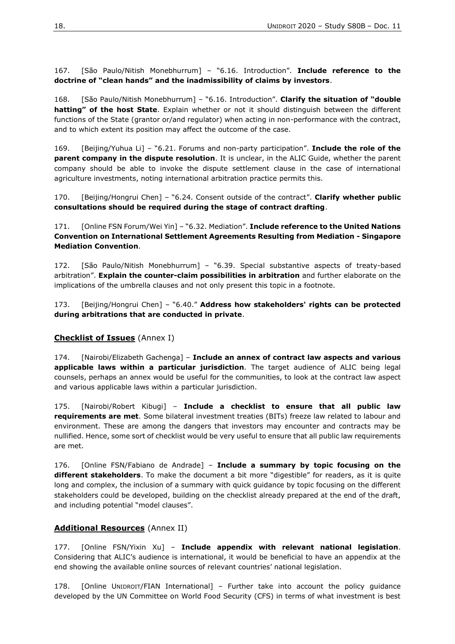167. [São Paulo/Nitish Monebhurrum] – "6.16. Introduction". **Include reference to the doctrine of "clean hands" and the inadmissibility of claims by investors**.

168. [São Paulo/Nitish Monebhurrum] – "6.16. Introduction". **Clarify the situation of "double hatting" of the host State**. Explain whether or not it should distinguish between the different functions of the State (grantor or/and regulator) when acting in non-performance with the contract, and to which extent its position may affect the outcome of the case.

169. [Beijing/Yuhua Li] – "6.21. Forums and non-party participation". **Include the role of the parent company in the dispute resolution**. It is unclear, in the ALIC Guide, whether the parent company should be able to invoke the dispute settlement clause in the case of international agriculture investments, noting international arbitration practice permits this.

170. [Beijing/Hongrui Chen] – "6.24. Consent outside of the contract". **Clarify whether public consultations should be required during the stage of contract drafting**.

171. [Online FSN Forum/Wei Yin] – "6.32. Mediation". **Include reference to the United Nations Convention on International Settlement Agreements Resulting from Mediation - Singapore Mediation Convention**.

172. [São Paulo/Nitish Monebhurrum] – "6.39. Special substantive aspects of treaty-based arbitration". **Explain the counter-claim possibilities in arbitration** and further elaborate on the implications of the umbrella clauses and not only present this topic in a footnote.

173. [Beijing/Hongrui Chen] – "6.40." **Address how stakeholders' rights can be protected during arbitrations that are conducted in private**.

#### <span id="page-17-0"></span>**Checklist of Issues** (Annex I)

174. [Nairobi/Elizabeth Gachenga] – **Include an annex of contract law aspects and various applicable laws within a particular jurisdiction**. The target audience of ALIC being legal counsels, perhaps an annex would be useful for the communities, to look at the contract law aspect and various applicable laws within a particular jurisdiction.

175. [Nairobi/Robert Kibugi] – **Include a checklist to ensure that all public law requirements are met**. Some bilateral investment treaties (BITs) freeze law related to labour and environment. These are among the dangers that investors may encounter and contracts may be nullified. Hence, some sort of checklist would be very useful to ensure that all public law requirements are met.

176. [Online FSN/Fabiano de Andrade] – **Include a summary by topic focusing on the different stakeholders**. To make the document a bit more "digestible" for readers, as it is quite long and complex, the inclusion of a summary with quick guidance by topic focusing on the different stakeholders could be developed, building on the checklist already prepared at the end of the draft, and including potential "model clauses".

#### <span id="page-17-1"></span>**Additional Resources** (Annex II)

177. [Online FSN/Yixin Xu] – **Include appendix with relevant national legislation**. Considering that ALIC's audience is international, it would be beneficial to have an appendix at the end showing the available online sources of relevant countries' national legislation.

178. [Online UNIDROIT/FIAN International] – Further take into account the policy guidance developed by the UN Committee on World Food Security (CFS) in terms of what investment is best